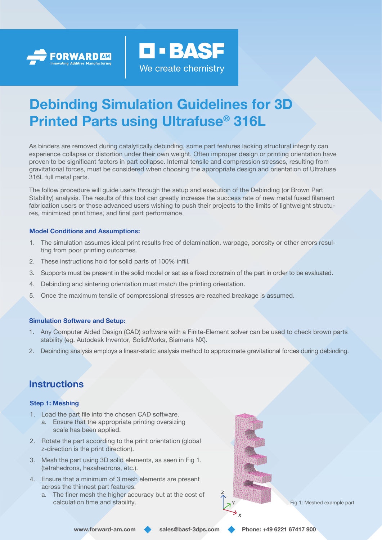



# Debinding Simulation Guidelines for 3D Printed Parts using Ultrafuse® 316L

As binders are removed during catalytically debinding, some part features lacking structural integrity can experience collapse or distortion under their own weight. Often improper design or printing orientation have proven to be significant factors in part collapse. Internal tensile and compression stresses, resulting from gravitational forces, must be considered when choosing the appropriate design and orientation of Ultrafuse 316L full metal parts.

The follow procedure will guide users through the setup and execution of the Debinding (or Brown Part Stability) analysis. The results of this tool can greatly increase the success rate of new metal fused filament fabrication users or those advanced users wishing to push their projects to the limits of lightweight structures, minimized print times, and final part performance.

### Model Conditions and Assumptions:

- 1. The simulation assumes ideal print results free of delamination, warpage, porosity or other errors resulting from poor printing outcomes.
- 2. These instructions hold for solid parts of 100% infill.
- 3. Supports must be present in the solid model or set as a fixed constrain of the part in order to be evaluated.
- 4. Debinding and sintering orientation must match the printing orientation.
- 5. Once the maximum tensile of compressional stresses are reached breakage is assumed.

#### Simulation Software and Setup:

- 1. Any Computer Aided Design (CAD) software with a Finite-Element solver can be used to check brown parts stability (eg. Autodesk Inventor, SolidWorks, Siemens NX).
- 2. Debinding analysis employs a linear-static analysis method to approximate gravitational forces during debinding.

## **Instructions**

#### Step 1: Meshing

- 1. Load the part file into the chosen CAD software. a. Ensure that the appropriate printing oversizing scale has been applied.
- 2. Rotate the part according to the print orientation (global z-direction is the print direction).
- 3. Mesh the part using 3D solid elements, as seen in Fig 1. (tetrahedrons, hexahedrons, etc.).
- 4. Ensure that a minimum of 3 mesh elements are present across the thinnest part features.
	- a. The finer mesh the higher accuracy but at the cost of calculation time and stability.  $\begin{array}{c} \Box \end{array}$   $\begin{array}{c} \Box Y \end{array}$  Fig 1: Meshed example part

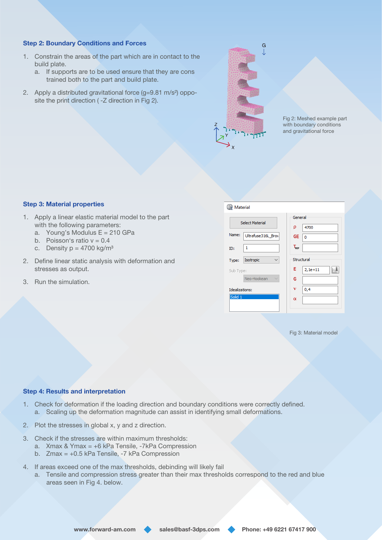#### Step 2: Boundary Conditions and Forces

- 1. Constrain the areas of the part which are in contact to the build plate.
	- a. If supports are to be used ensure that they are cons trained both to the part and build plate.
- 2. Apply a distributed gravitational force (g=9.81 m/s²) opposite the print direction ( -Z direction in Fig 2).



Fig 2: Meshed example part with boundary conditions and gravitational force

#### Step 3: Material properties

- 1. Apply a linear elastic material model to the part with the following parameters:
	- a. Young's Modulus  $E = 210$  GPa
	- b. Poisson's ratio  $v = 0.4$
	- c. Density  $p = 4700$  kg/m<sup>3</sup>
- 2. Define linear static analysis with deformation and stresses as output.
- 3. Run the simulation.

| <b>Naterial</b>        |                             |                      |           |
|------------------------|-----------------------------|----------------------|-----------|
| <b>Select Material</b> |                             | General<br>ρ<br>4700 |           |
| Name:                  | Ultrafuse316L Brov          | <b>GE</b>            | 0         |
| ID:                    | 1                           | $T_{\text{REF}}$     |           |
| Type:                  | Isotropic                   | Structural           |           |
| Sub Type:              |                             | Е                    | $2,1e+11$ |
|                        | Neo-Hookean<br>$\checkmark$ | G                    |           |
| Idealizations:         |                             | v                    | 0,4       |
| Solid <sub>1</sub>     |                             | $\alpha$             |           |
|                        |                             |                      |           |

Fig 3: Material model

#### Step 4: Results and interpretation

- 1. Check for deformation if the loading direction and boundary conditions were correctly defined. a. Scaling up the deformation magnitude can assist in identifying small deformations.
- 2. Plot the stresses in global x, y and z direction.
- 3. Check if the stresses are within maximum thresholds:
	- a. Xmax & Ymax = +6 kPa Tensile, -7kPa Compression
		- b. Zmax = +0.5 kPa Tensile, -7 kPa Compression
- 4. If areas exceed one of the max thresholds, debinding will likely fail
	- a. Tensile and compression stress greater than their max thresholds correspond to the red and blue areas seen in Fig 4. below.

www.forward-am.com sales@basf-3dps.com Phone: +49 6221 67417 900